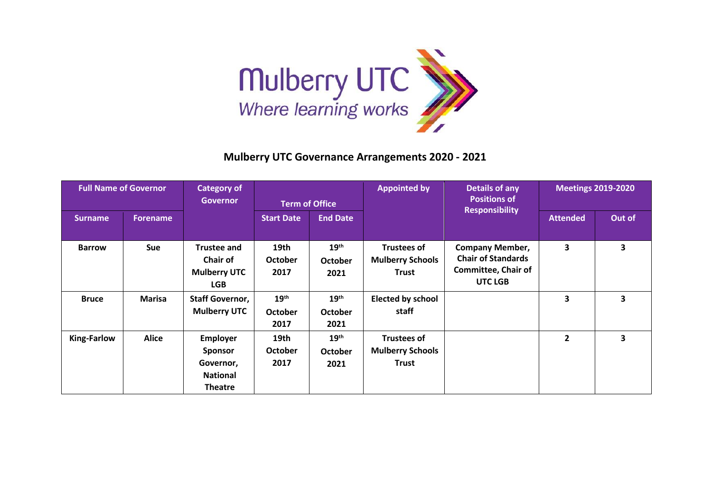

## **Mulberry UTC Governance Arrangements 2020 - 2021**

| <b>Full Name of Governor</b> |                 | <b>Category of</b><br><b>Governor</b>                                               | <b>Term of Office</b>                      |                                            | <b>Appointed by</b>                                           | <b>Details of any</b><br><b>Positions of</b>                                                 | <b>Meetings 2019-2020</b> |                         |
|------------------------------|-----------------|-------------------------------------------------------------------------------------|--------------------------------------------|--------------------------------------------|---------------------------------------------------------------|----------------------------------------------------------------------------------------------|---------------------------|-------------------------|
| <b>Surname</b>               | <b>Forename</b> |                                                                                     | <b>Start Date</b>                          | <b>End Date</b>                            |                                                               | <b>Responsibility</b>                                                                        | <b>Attended</b>           | Out of                  |
| <b>Barrow</b>                | <b>Sue</b>      | <b>Trustee and</b><br><b>Chair of</b><br><b>Mulberry UTC</b><br><b>LGB</b>          | 19th<br><b>October</b><br>2017             | 19 <sup>th</sup><br><b>October</b><br>2021 | <b>Trustees of</b><br><b>Mulberry Schools</b><br><b>Trust</b> | <b>Company Member,</b><br><b>Chair of Standards</b><br><b>Committee, Chair of</b><br>UTC LGB | 3                         | 3                       |
| <b>Bruce</b>                 | Marisa          | <b>Staff Governor,</b><br><b>Mulberry UTC</b>                                       | 19 <sup>th</sup><br><b>October</b><br>2017 | 19 <sup>th</sup><br><b>October</b><br>2021 | <b>Elected by school</b><br>staff                             |                                                                                              | 3                         | 3                       |
| <b>King-Farlow</b>           | <b>Alice</b>    | <b>Employer</b><br><b>Sponsor</b><br>Governor,<br><b>National</b><br><b>Theatre</b> | 19th<br><b>October</b><br>2017             | 19 <sup>th</sup><br><b>October</b><br>2021 | <b>Trustees of</b><br><b>Mulberry Schools</b><br><b>Trust</b> |                                                                                              | $\mathbf{2}$              | $\overline{\mathbf{3}}$ |